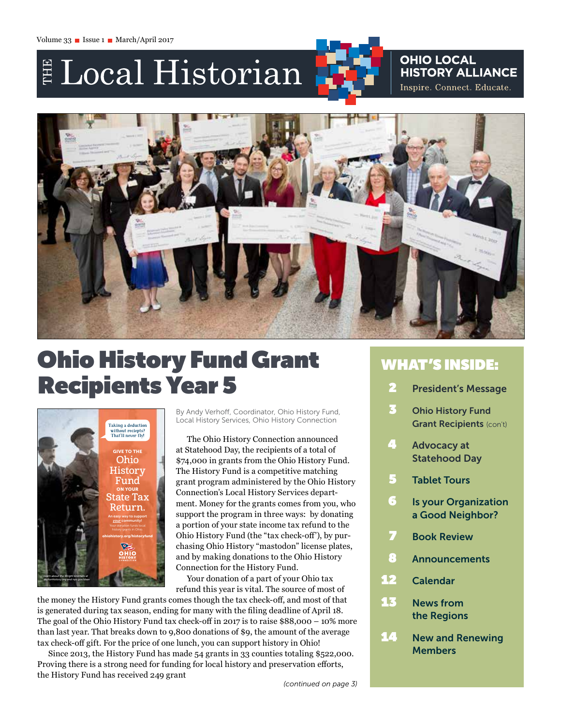# E Local Historian

## **OHIO LOCAL HISTORY ALLIANCE** Inspire. Connect. Educate.



## Ohio History Fund Grant Recipients Year 5



By Andy Verhoff, Coordinator, Ohio History Fund, Local History Services, Ohio History Connection

The Ohio History Connection announced at Statehood Day, the recipients of a total of \$74,000 in grants from the Ohio History Fund. The History Fund is a competitive matching grant program administered by the Ohio History Connection's Local History Services department. Money for the grants comes from you, who support the program in three ways: by donating a portion of your state income tax refund to the Ohio History Fund (the "tax check-off'), by purchasing Ohio History "mastodon" license plates, and by making donations to the Ohio History Connection for the History Fund.

Your donation of a part of your Ohio tax refund this year is vital. The source of most of

the money the History Fund grants comes though the tax check-off, and most of that is generated during tax season, ending for many with the filing deadline of April 18. The goal of the Ohio History Fund tax check-off in 2017 is to raise \$88,000 – 10% more than last year. That breaks down to 9,800 donations of \$9, the amount of the average tax check-off gift. For the price of one lunch, you can support history in Ohio!

Since 2013, the History Fund has made 54 grants in 33 counties totaling \$522,000. Proving there is a strong need for funding for local history and preservation efforts, the History Fund has received 249 grant

## WHAT'S INSIDE:

- 2 President's Message
- 3 Ohio History Fund Grant Recipients (con't)
- **4** Advocacy at Statehood Day
- 5 Tablet Tours
- **6** Is your Organization a Good Neighbor?
- **7** Book Review
- 8 Announcements
- 12 Calendar
- 13 News from the Regions
- 14 New and Renewing **Members**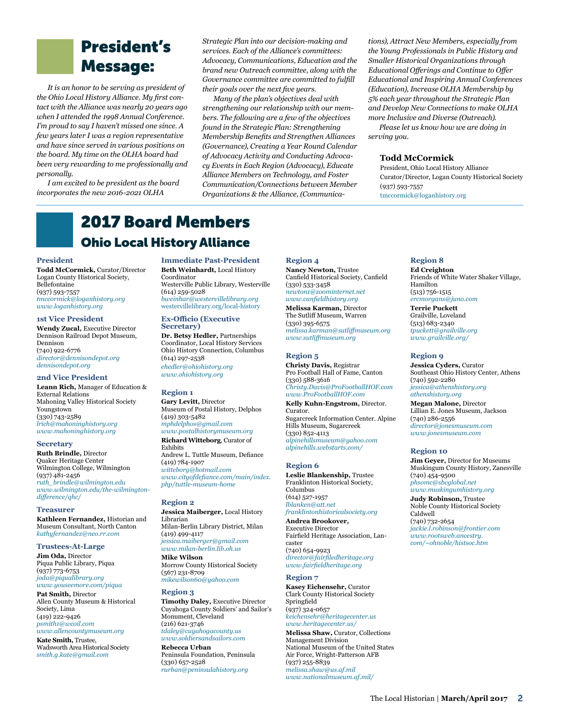## President's Message:

*It is an honor to be serving as president of the Ohio Local History Alliance. My first contact with the Alliance was nearly 20 years ago when I attended the 1998 Annual Conference. I'm proud to say I haven't missed one since. A few years later I was a region representative and have since served in various positions on the board. My time on the OLHA board had been very rewarding to me professionally and personally.*

*I am excited to be president as the board incorporates the new 2016-2021 OLHA* 

*Strategic Plan into our decision-making and services. Each of the Alliance's committees: Advocacy, Communications, Education and the brand new Outreach committee, along with the Governance committee are committed to fulfill their goals over the next five years.* 

*Many of the plan's objectives deal with strengthening our relationship with our members. The following are a few of the objectives found in the Strategic Plan: Strengthening Membership Benefits and Strengthen Alliances (Governance), Creating a Year Round Calendar of Advocacy Activity and Conducting Advocacy Events in Each Region (Advocacy), Educate Alliance Members on Technology, and Foster Communication/Connections between Member Organizations & the Alliance, (Communica-* *tions), Attract New Members, especially from the Young Professionals in Public History and Smaller Historical Organizations through Educational Offerings and Continue to Offer Educational and Inspiring Annual Conferences (Education), Increase OLHA Membership by 5% each year throughout the Strategic Plan and Develop New Connections to make OLHA more Inclusive and Diverse (Outreach).*

*Please let us know how we are doing in serving you.*

#### **Todd McCormick**

President, Ohio Local History Alliance Curator/Director, Logan County Historical Society (937) 593-7557 [tmccormick@loganhistory.org](mailto:tmccormick@loganhistory.org)

## 2017 Board Members Ohio Local History Alliance

#### **President**

**Todd McCormick,** Curator/Director Logan County Historical Society, Bellefontaine (937) 593-7557 *[tmccormick@loganhistory.org](mailto:tmccormick@loganhistory.org) [www.loganhistory.org](http://www.loganhistory.org)*

#### **1st Vice President**

**Wendy Zucal,** Executive Director Dennison Railroad Depot Museum, Dennison (740) 922-6776 *[director@dennisondepot.org](mailto:director@dennisondepot.org) [dennisondepot.org](http://dennisondepot.org)*

#### **2nd Vice President**

**Leann Rich,** Manager of Education & External Relations Mahoning Valley Historical Society Youngstown (330) 743-2589 *[lrich@mahoninghistory.org](mailto:lrich@mahoninghistory.org) [www.mahoninghistory.org](http://www.mahoninghistory.org)*

#### **Secretary**

**Ruth Brindle,** Director Quaker Heritage Center Wilmington College, Wilmington (937) 481-2456 *[ruth\\_brindle@wilmington.edu](mailto:ruth_brindle@wilmington.edu) [www.wilmington.edu/the-wilmington](https://www.wilmington.edu/the-wilmington-difference/qhc/)[difference/qhc/](https://www.wilmington.edu/the-wilmington-difference/qhc/)*

#### **Treasurer**

**Kathleen Fernandez,** Historian and Museum Consultant, North Canton *[kathyfernandez@neo.rr.com](mailto:kathyfernandez%40neo.rr.com?subject=)*

#### **Trustees-At-Large**

**Jim Oda,** Director Piqua Public Library, Piqua (937) 773-6753 *[joda@piqualibrary.org](mailto:joda@piqualibrary.org) [www.youseemore.com/piqua](http://www.youseemore.com/piqua)*

**Pat Smith,** Director Allen County Museum & Historical Society, Lima (419) 222-9426 *[psmith1@wcoil.com](mailto:psmith1@wcoil.com) [www.allencountymuseum.org](http://www.allencountymuseum.org)*

**Kate Smith,** Trustee, Wadsworth Area Historical Society *smith.g.kate@gmail.com*

**Immediate Past-President Beth Weinhardt,** Local History Coordinator Westerville Public Library, Westerville (614) 259-5028 *[bweinhar@westervillelibrary.org](mailto:bweinhar@westervillelibrary.org)* [westervillelibrary.org/local-history](http://westervillelibrary.org/local-history)

#### **Ex-Officio (Executive Secretary)**

**Dr. Betsy Hedler,** Partnerships Coordinator, Local History Services Ohio History Connection, Columbus (614) 297-2538 *[ehedler@ohiohistory.org](mailto:ehedler@ohiohistory.org) [www.ohiohistory.org](http://www.ohiohistory.org)*

#### **Region 1**

**Gary Levitt,** Director Museum of Postal History, Delphos (419) 303-5482 *[mphdelphos@gmail.com](mailto:mphdelphos@gmail.com) [www.postalhistorymuseum.org](http://www.postalhistorymuseum.org)* **Richard Witteborg**, Curator of

Exhibits Andrew L. Tuttle Museum, Defiance (419) 784-1907 *[witteborg@hotmail.com](mailto:witteborg%40hotmail.com?subject=) [www.cityofdefiance.com/main/index.](http://www.cityofdefiance.com/main/index.php/tuttle-museum-home) [php/tuttle-museum-home](http://www.cityofdefiance.com/main/index.php/tuttle-museum-home)* 

#### **Region 2**

**Jessica Maiberger,** Local History Librarian Milan-Berlin Library District, Milan (419) 499-4117 *[jessica.maiberger@gmail.com](mailto:jessica.maiberger@gmail.com)* 

*[www.milan-berlin.lib.oh.us](http://www.milan-berlin.lib.oh.us)*  **Mike Wilson** Morrow County Historical Society (567) 231-8709

## *[mikewilson60@yahoo.com](mailto:mikewilson60@yahoo.com)*

**Region 3 Timothy Daley,** Executive Director Cuyahoga County Soldiers' and Sailor's Monument, Cleveland (216) 621-3746 *[tdaley@cuyahogacounty.us](mailto:tdaley@cuyahogacounty.us) [www.soldiersandsailors.com](http://www.soldiersandsailors.com)*

**Rebecca Urban** Peninsula Foundation, Peninsula (330) 657-2528 *[rurban@peninsulahistory.org](mailto:rurban@peninsulahistory.org)*

#### **Region 4**

**Nancy Newton,** Trustee Canfield Historical Society, Canfield (330) 533-3458 *[newton1@zoominternet.net](mailto:newton1@zoominternet.net) [www.canfieldhistory.org](http://www.canfieldhistory.org)* **Melissa Karman,** Director The Sutliff Museum, Warren (330) 395-6575 *[melissa.karman@sutliffmuseum.org](mailto:melissa.karman@sutliffmuseum.org)  [www.sutliffmuseum.org](http://www.sutliffmuseum.org/)*

#### **Region 5**

**Christy Davis,** Registrar Pro Football Hall of Fame, Canton (330) 588-3616 *[Christy.Davis@ProFootballHOF.com](mailto:Christy.Davis@ProFootballHOF.com)  [www.ProFootballHOF.com](http://www.profootballhof.com/)*

**Kelly Kuhn-Engstrom,** Director. Curator. Sugarcreek Information Center. Alpine Hills Museum, Sugarcreek (330) 852-4113 *[alpinehillsmuseum@yahoo.com](mailto:alpinehillsmuseum@yahoo.com) [alpinehills.webstarts.com/](http://alpinehills.webstarts.com)*

#### **Region 6**

**Leslie Blankenship,** Trustee Franklinton Historical Society, Columbus (614) 527-1957 *[lblanken@att.net](mailto:lblanken@att.net) [franklintonhistoricalsociety.org](http://franklintonhistoricalsociety.org)*

**Andrea Brookover,**  Executive Director Fairfield Heritage Association, Lancaster (740) 654-9923 *[director@fairfiledheritage.org](mailto:director@fairfiledheritage.org)*

#### **Region 7**

**Kasey Eichensehr,** Curator Clark County Historical Society Springfield (937) 324-0657 *[keichensehr@heritagecenter.us](mailto:keichensehr@heritagecenter.us) [www.heritagecenter.us/](http://www.heritagecenter.us)*

*[www.fairfieldheritage.org](http://www.fairfieldheritage.org)*

**Melissa Shaw,** Curator, Collections Management Division National Museum of the United States Air Force, Wright-Patterson AFB (937) 255-8839 *[melissa.shaw@us.af.mil](mailto:melissa.shaw@us.af.mil http://www.nationalmuseum.af.mil/ ) [www.nationalmuseum.af.mil/](mailto:melissa.shaw@us.af.mil http://www.nationalmuseum.af.mil/ )*

#### **Region 8**

**Ed Creighton** Friends of White Water Shaker Village, Hamilton (513) 756-1515 *[ercmorgans@juno.com](mailto:ercmorgans@juno.com)* **Terrie Puckett**

Grailville, Loveland (513) 683-2340 *[tpuckett@grailville.org](mailto:tpuckett@grailville.org) [www.grailville.org/](http://www.grailville.org)*

#### **Region 9**

**Jessica Cyders,** Curator Southeast Ohio History Center, Athens (740) 592-2280 *[jessica@athenshistory.org](mailto:jessica@athenshistory.org) [athenshistory.org](http://athenshistory.org)*

**Megan Malone,** Director Lillian E. Jones Museum, Jackson (740) 286-2556 *[director@jonesmuseum.com](mailto:director@jonesmuseum.com) [www.jonesmuseum.com](http://www.jonesmuseum.com)*

#### **Region 10**

**Jim Geyer,** Director for Museums Muskingum County History, Zanesville (740) 454-9500 *[phsomc@sbcglobal.net](mailto:phsomc@sbcglobal.net)*

*[www.muskingumhistory.org](http://www.muskingumhistory.org)*

**Judy Robinson,** Trustee Noble County Historical Society Caldwell (740) 732-2654 *[jackie.l.robinson@frontier.com](mailto:jackie.l.robinson@frontier.com) [www.rootsweb.ancestry.](http://www.rootsweb.ancestry.com/~ohnoble/histsoc.htm) [com/~ohnoble/histsoc.htm](http://www.rootsweb.ancestry.com/~ohnoble/histsoc.htm)*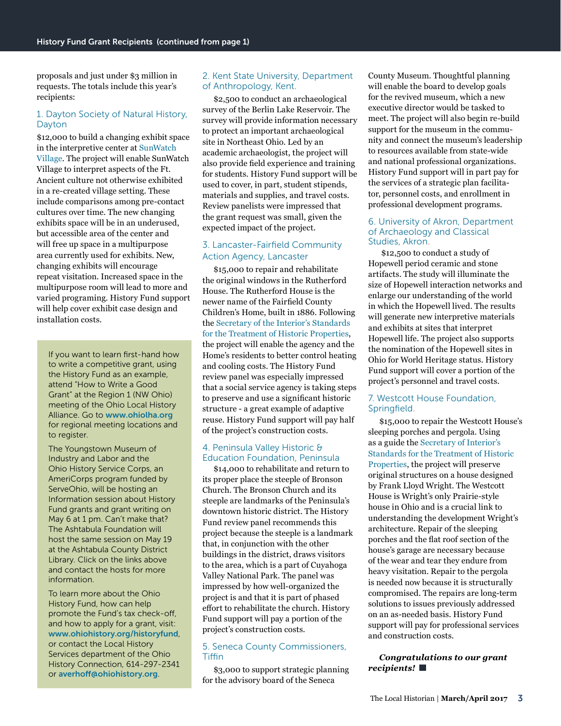proposals and just under \$3 million in requests. The totals include this year's recipients:

### [1. Dayton Society of Natural History,](https://www.boonshoftmuseum.org/)  [Dayton](https://www.boonshoftmuseum.org/)

\$12,000 to build a changing exhibit space in the interpretive center at [SunWatch](http://SunWatch Village)  [Village.](http://SunWatch Village) The project will enable SunWatch Village to interpret aspects of the Ft. Ancient culture not otherwise exhibited in a re-created village setting. These include comparisons among pre-contact cultures over time. The new changing exhibits space will be in an underused, but accessible area of the center and will free up space in a multipurpose area currently used for exhibits. New, changing exhibits will encourage repeat visitation. Increased space in the multipurpose room will lead to more and varied programing. History Fund support will help cover exhibit case design and installation costs.

If you want to learn first-hand how to write a competitive grant, using the History Fund as an example, attend "How to Write a Good Grant" at the Region 1 (NW Ohio) meeting of the Ohio Local History Alliance. Go to [www.ohiolha.org](http://www.ohiolha.org) for regional meeting locations and to register.

The Youngstown Museum of Industry and Labor and the Ohio History Service Corps, an AmeriCorps program funded by ServeOhio, will be hosting an Information session about History Fund grants and grant writing on May 6 at 1 pm. Can't make that? The Ashtabula Foundation will host the same session on May 19 at the Ashtabula County District Library. Click on the links above and contact the hosts for more information.

To learn more about the Ohio History Fund, how can help promote the Fund's tax check-off, and how to apply for a grant, visit: [www.ohiohistory.org/historyfund](http://www.ohiohistory.org/historyfund), or contact the Local History Services department of the Ohio History Connection, 614-297-2341 or [averhoff@ohiohistory.org](mailto:averhoff@ohiohistory.org).

### [2. Kent State University, Department](https://www.kent.edu/anthropology/archaeology)  [of Anthropology, Kent.](https://www.kent.edu/anthropology/archaeology)

\$2,500 to conduct an archaeological survey of the Berlin Lake Reservoir. The survey will provide information necessary to protect an important archaeological site in Northeast Ohio. Led by an academic archaeologist, the project will also provide field experience and training for students. History Fund support will be used to cover, in part, student stipends, materials and supplies, and travel costs. Review panelists were impressed that the grant request was small, given the expected impact of the project.

### [3. Lancaster-Fairfield Community](http://www.faircaa.org/index.html)  [Action Agency, Lancaster](http://www.faircaa.org/index.html)

\$15,000 to repair and rehabilitate the original windows in the Rutherford House. The Rutherford House is the newer name of the Fairfield County Children's Home, built in 1886. Following the [Secretary of the Interior's Standards](https://www.nps.gov/tps/standards.htm)  [for the Treatment of Historic Properties,](https://www.nps.gov/tps/standards.htm) the project will enable the agency and the Home's residents to better control heating and cooling costs. The History Fund review panel was especially impressed that a social service agency is taking steps to preserve and use a significant historic structure - a great example of adaptive reuse. History Fund support will pay half of the project's construction costs.

### [4. Peninsula Valley Historic &](http://www.peninsulahistory.org/)  [Education Foundation, Peninsula](http://www.peninsulahistory.org/)

\$14,000 to rehabilitate and return to its proper place the steeple of Bronson Church. The Bronson Church and its steeple are landmarks of the Peninsula's downtown historic district. The History Fund review panel recommends this project because the steeple is a landmark that, in conjunction with the other buildings in the district, draws visitors to the area, which is a part of Cuyahoga Valley National Park. The panel was impressed by how well-organized the project is and that it is part of phased effort to rehabilitate the church. History Fund support will pay a portion of the project's construction costs.

#### [5. Seneca County Commissioners,](http://www.seneca-county.com/)  **[Tiffin](http://www.seneca-county.com/)**

\$3,000 to support strategic planning for the advisory board of the Seneca

County Museum. Thoughtful planning will enable the board to develop goals for the revived museum, which a new executive director would be tasked to meet. The project will also begin re-build support for the museum in the community and connect the museum's leadership to resources available from state-wide and national professional organizations. History Fund support will in part pay for the services of a strategic plan facilitator, personnel costs, and enrollment in professional development programs.

#### [6. University of Akron, Department](https://www.uakron.edu/anthropology-classics/)  [of Archaeology and Classical](https://www.uakron.edu/anthropology-classics/)  [Studies, Akron](https://www.uakron.edu/anthropology-classics/).

 \$12,500 to conduct a study of Hopewell period ceramic and stone artifacts. The study will illuminate the size of Hopewell interaction networks and enlarge our understanding of the world in which the Hopewell lived. The results will generate new interpretive materials and exhibits at sites that interpret Hopewell life. The project also supports the nomination of the Hopewell sites in Ohio for World Heritage status. History Fund support will cover a portion of the project's personnel and travel costs.

### [7. Westcott House Foundation,](https://www.westcotthouse.org/#load)  [Springfield.](https://www.westcotthouse.org/#load)

\$15,000 to repair the Westcott House's sleeping porches and pergola. Using as a guide the [Secretary of Interior's](https://www.nps.gov/tps/standards.htm)  [Standards for the Treatment of Historic](https://www.nps.gov/tps/standards.htm)  [Properties](https://www.nps.gov/tps/standards.htm), the project will preserve original structures on a house designed by Frank Lloyd Wright. The Westcott House is Wright's only Prairie-style house in Ohio and is a crucial link to understanding the development Wright's architecture. Repair of the sleeping porches and the flat roof section of the house's garage are necessary because of the wear and tear they endure from heavy visitation. Repair to the pergola is needed now because it is structurally compromised. The repairs are long-term solutions to issues previously addressed on an as-needed basis. History Fund support will pay for professional services and construction costs.

### *Congratulations to our grant recipients!*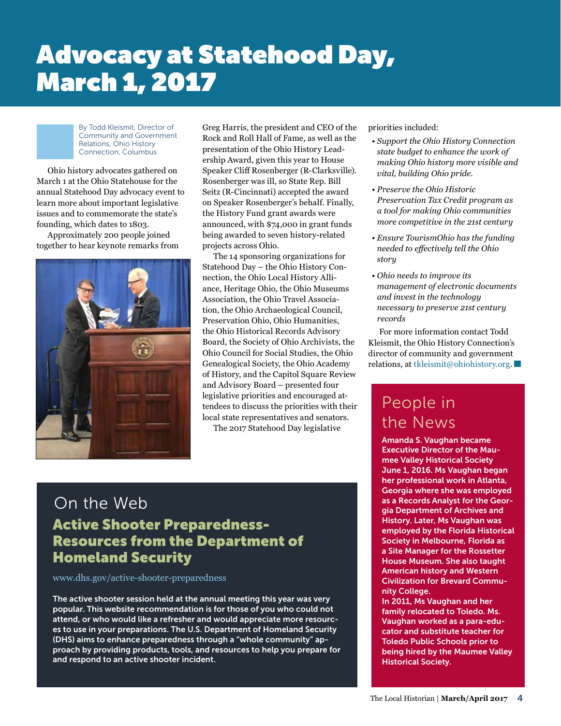## Advocacy at Statehood Day, March 1, 2017

By Todd Kleismit, Director of Community and Government Relations, Ohio History Connection, Columbus

Ohio history advocates gathered on March 1 at the Ohio Statehouse for the annual Statehood Day advocacy event to learn more about important legislative issues and to commemorate the state's founding, which dates to 1803.

Approximately 200 people joined together to hear keynote remarks from



Greg Harris, the president and CEO of the Rock and Roll Hall of Fame, as well as the presentation of the Ohio History Leadership Award, given this year to House Speaker Cliff Rosenberger (R-Clarksville). Rosenberger was ill, so State Rep. Bill Seitz (R-Cincinnati) accepted the award on Speaker Rosenberger's behalf. Finally, the History Fund grant awards were announced, with \$74,000 in grant funds being awarded to seven history-related projects across Ohio.

The 14 sponsoring organizations for Statehood Day – the Ohio History Connection, the Ohio Local History Alliance, Heritage Ohio, the Ohio Museums Association, the Ohio Travel Association, the Ohio Archaeological Council, Preservation Ohio, Ohio Humanities, the Ohio Historical Records Advisory Board, the Society of Ohio Archivists, the Ohio Council for Social Studies, the Ohio Genealogical Society, the Ohio Academy of History, and the Capitol Square Review and Advisory Board – presented four legislative priorities and encouraged attendees to discuss the priorities with their local state representatives and senators.

The 2017 Statehood Day legislative

## On the Web

## Active Shooter Preparedness-Resources from the Department of Homeland Security

[www.dhs.gov/active-](https://www.dhs.gov/active)shooter-preparedness

The active shooter session held at the annual meeting this year was very popular. This website recommendation is for those of you who could not attend, or who would like a refresher and would appreciate more resources to use in your preparations. The U.S. Department of Homeland Security (DHS) aims to enhance preparedness through a "whole community" approach by providing products, tools, and resources to help you prepare for and respond to an active shooter incident.

priorities included:

- *Support the Ohio History Connection state budget to enhance the work of making Ohio history more visible and vital, building Ohio pride.*
- *Preserve the Ohio Historic Preservation Tax Credit program as a tool for making Ohio communities more competitive in the 21st century*
- *Ensure TourismOhio has the funding needed to effectively tell the Ohio story*
- *Ohio needs to improve its management of electronic documents and invest in the technology necessary to preserve 21st century records*

For more information contact Todd Kleismit, the Ohio History Connection's director of community and government relations, at [tkleismit@ohiohistory.org.](mailto:tkleismit@ohiohistory.org)

## People in the News

Amanda S. Vaughan became Executive Director of the Maumee Valley Historical Society June 1, 2016. Ms Vaughan began her professional work in Atlanta, Georgia where she was employed as a Records Analyst for the Georgia Department of Archives and History. Later, Ms Vaughan was employed by the Florida Historical Society in Melbourne, Florida as a Site Manager for the Rossetter House Museum. She also taught American history and Western Civilization for Brevard Community College.

In 2011, Ms Vaughan and her family relocated to Toledo. Ms. Vaughan worked as a para-educator and substitute teacher for Toledo Public Schools prior to being hired by the Maumee Valley Historical Society.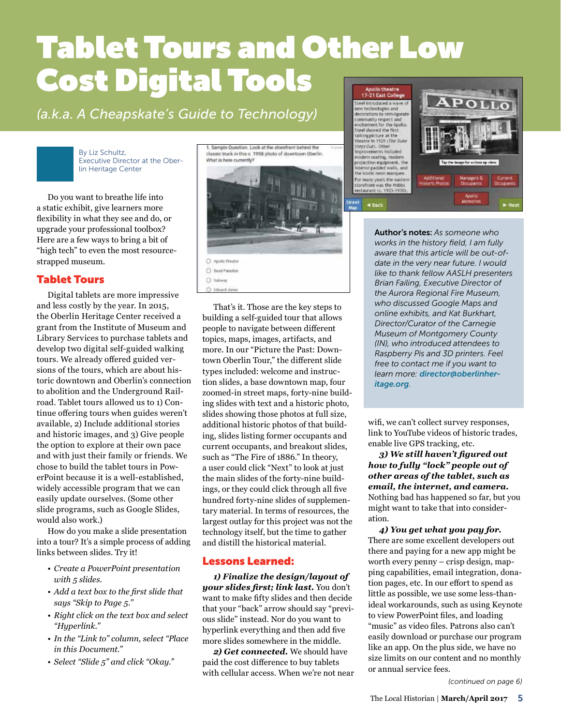## Tablet Tours and Other Low Cost Digital Tools Apollo theatre<br>17-21 East College

*(a.k.a. A Cheapskate's Guide to Technology)* 

By Liz Schultz, Executive Director at the Oberlin Heritage Center

Do you want to breathe life into a static exhibit, give learners more flexibility in what they see and do, or upgrade your professional toolbox? Here are a few ways to bring a bit of "high tech" to even the most resourcestrapped museum.

## Tablet Tours

Digital tablets are more impressive and less costly by the year. In 2015, the Oberlin Heritage Center received a grant from the Institute of Museum and Library Services to purchase tablets and develop two digital self-guided walking tours. We already offered guided versions of the tours, which are about historic downtown and Oberlin's connection to abolition and the Underground Railroad. Tablet tours allowed us to 1) Continue offering tours when guides weren't available, 2) Include additional stories and historic images, and 3) Give people the option to explore at their own pace and with just their family or friends. We chose to build the tablet tours in PowerPoint because it is a well-established, widely accessible program that we can easily update ourselves. (Some other slide programs, such as Google Slides, would also work.)

How do you make a slide presentation into a tour? It's a simple process of adding links between slides. Try it!

- *Create a PowerPoint presentation with 5 slides.*
- *• Add a text box to the first slide that says "Skip to Page 5."*
- *Right click on the text box and select "Hyperlink."*
- *In the "Link to" column, select "Place in this Document."*
- *Select "Slide 5" and click "Okay."*

Sample Question. Look at the storefront behind the classic truck in this c. 1958 photo of downtown Oberlin What is here currently?



That's it. Those are the key steps to building a self-guided tour that allows people to navigate between different topics, maps, images, artifacts, and more. In our "Picture the Past: Downtown Oberlin Tour," the different slide types included: welcome and instruction slides, a base downtown map, four zoomed-in street maps, forty-nine building slides with text and a historic photo, slides showing those photos at full size, additional historic photos of that building, slides listing former occupants and current occupants, and breakout slides, such as "The Fire of 1886." In theory, a user could click "Next" to look at just the main slides of the forty-nine buildings, or they could click through all five hundred forty-nine slides of supplementary material. In terms of resources, the largest outlay for this project was not the technology itself, but the time to gather and distill the historical material.

## Lessons Learned:

*1) Finalize the design/layout of your slides first; link last.* You don't want to make fifty slides and then decide that your "back" arrow should say "previous slide" instead. Nor do you want to hyperlink everything and then add five more slides somewhere in the middle.

*2) Get connected.* We should have paid the cost difference to buy tablets with cellular access. When we're not near



Author's notes: *As someone who works in the history field, I am fully aware that this article will be out-ofdate in the very near future. I would like to thank fellow AASLH presenters Brian Failing, Executive Director of the Aurora Regional Fire Museum, who discussed Google Maps and online exhibits, and Kat Burkhart, Director/Curator of the Carnegie Museum of Montgomery County (IN), who introduced attendees to Raspberry Pis and 3D printers. Feel free to contact me if you want to learn more: [director@oberlinher](mailto:director@oberlinheritage.org)[itage.org](mailto:director@oberlinheritage.org).*

wifi, we can't collect survey responses, link to YouTube videos of historic trades, enable live GPS tracking, etc.

*3) We still haven't figured out how to fully "lock" people out of other areas of the tablet, such as email, the internet, and camera.* Nothing bad has happened so far, but you might want to take that into consideration.

*4) You get what you pay for.* There are some excellent developers out there and paying for a new app might be worth every penny – crisp design, mapping capabilities, email integration, donation pages, etc. In our effort to spend as little as possible, we use some less-thanideal workarounds, such as using Keynote to view PowerPoint files, and loading "music" as video files. Patrons also can't easily download or purchase our program like an app. On the plus side, we have no size limits on our content and no monthly or annual service fees.

*(continued on page 6)*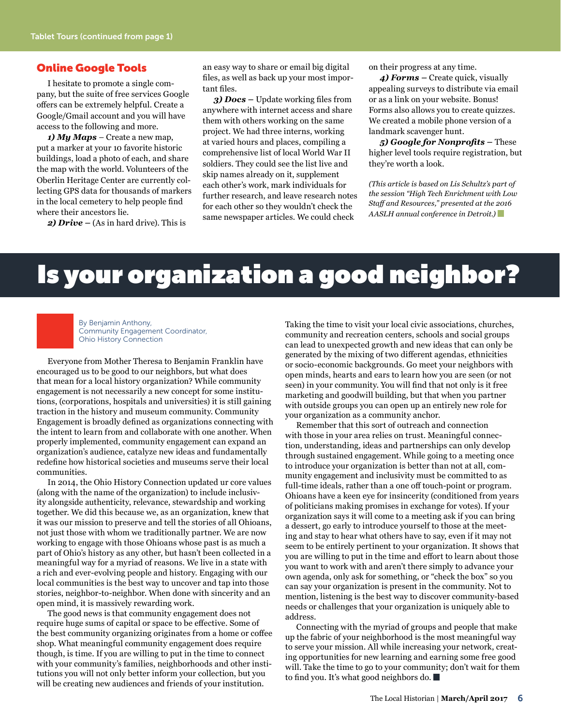### Online Google Tools

I hesitate to promote a single company, but the suite of free services Google offers can be extremely helpful. Create a Google/Gmail account and you will have access to the following and more.

*1) My Maps* – Create a new map, put a marker at your 10 favorite historic buildings, load a photo of each, and share the map with the world. Volunteers of the Oberlin Heritage Center are currently collecting GPS data for thousands of markers in the local cemetery to help people find where their ancestors lie.

*2) Drive –* (As in hard drive). This is

an easy way to share or email big digital files, as well as back up your most important files.

*3) Docs –* Update working files from anywhere with internet access and share them with others working on the same project. We had three interns, working at varied hours and places, compiling a comprehensive list of local World War II soldiers. They could see the list live and skip names already on it, supplement each other's work, mark individuals for further research, and leave research notes for each other so they wouldn't check the same newspaper articles. We could check

on their progress at any time.

*4) Forms –* Create quick, visually appealing surveys to distribute via email or as a link on your website. Bonus! Forms also allows you to create quizzes. We created a mobile phone version of a landmark scavenger hunt.

*5) Google for Nonprofits –* These higher level tools require registration, but they're worth a look.

*(This article is based on Lis Schultz's part of the session "High Tech Enrichment with Low Staff and Resources," presented at the 2016 AASLH annual conference in Detroit.)* 

## Is your organization a good neighbor?



By Benjamin Anthony, Community Engagement Coordinator, Ohio History Connection

Everyone from Mother Theresa to Benjamin Franklin have encouraged us to be good to our neighbors, but what does that mean for a local history organization? While community engagement is not necessarily a new concept for some institutions, (corporations, hospitals and universities) it is still gaining traction in the history and museum community. Community Engagement is broadly defined as organizations connecting with the intent to learn from and collaborate with one another. When properly implemented, community engagement can expand an organization's audience, catalyze new ideas and fundamentally redefine how historical societies and museums serve their local communities.

In 2014, the Ohio History Connection updated ur core values (along with the name of the organization) to include inclusivity alongside authenticity, relevance, stewardship and working together. We did this because we, as an organization, knew that it was our mission to preserve and tell the stories of all Ohioans, not just those with whom we traditionally partner. We are now working to engage with those Ohioans whose past is as much a part of Ohio's history as any other, but hasn't been collected in a meaningful way for a myriad of reasons. We live in a state with a rich and ever-evolving people and history. Engaging with our local communities is the best way to uncover and tap into those stories, neighbor-to-neighbor. When done with sincerity and an open mind, it is massively rewarding work.

The good news is that community engagement does not require huge sums of capital or space to be effective. Some of the best community organizing originates from a home or coffee shop. What meaningful community engagement does require though, is time. If you are willing to put in the time to connect with your community's families, neighborhoods and other institutions you will not only better inform your collection, but you will be creating new audiences and friends of your institution.

Taking the time to visit your local civic associations, churches, community and recreation centers, schools and social groups can lead to unexpected growth and new ideas that can only be generated by the mixing of two different agendas, ethnicities or socio-economic backgrounds. Go meet your neighbors with open minds, hearts and ears to learn how you are seen (or not seen) in your community. You will find that not only is it free marketing and goodwill building, but that when you partner with outside groups you can open up an entirely new role for your organization as a community anchor.

Remember that this sort of outreach and connection with those in your area relies on trust. Meaningful connection, understanding, ideas and partnerships can only develop through sustained engagement. While going to a meeting once to introduce your organization is better than not at all, community engagement and inclusivity must be committed to as full-time ideals, rather than a one off touch-point or program. Ohioans have a keen eye for insincerity (conditioned from years of politicians making promises in exchange for votes). If your organization says it will come to a meeting ask if you can bring a dessert, go early to introduce yourself to those at the meeting and stay to hear what others have to say, even if it may not seem to be entirely pertinent to your organization. It shows that you are willing to put in the time and effort to learn about those you want to work with and aren't there simply to advance your own agenda, only ask for something, or "check the box" so you can say your organization is present in the community. Not to mention, listening is the best way to discover community-based needs or challenges that your organization is uniquely able to address.

Connecting with the myriad of groups and people that make up the fabric of your neighborhood is the most meaningful way to serve your mission. All while increasing your network, creating opportunities for new learning and earning some free good will. Take the time to go to your community; don't wait for them to find you. It's what good neighbors do.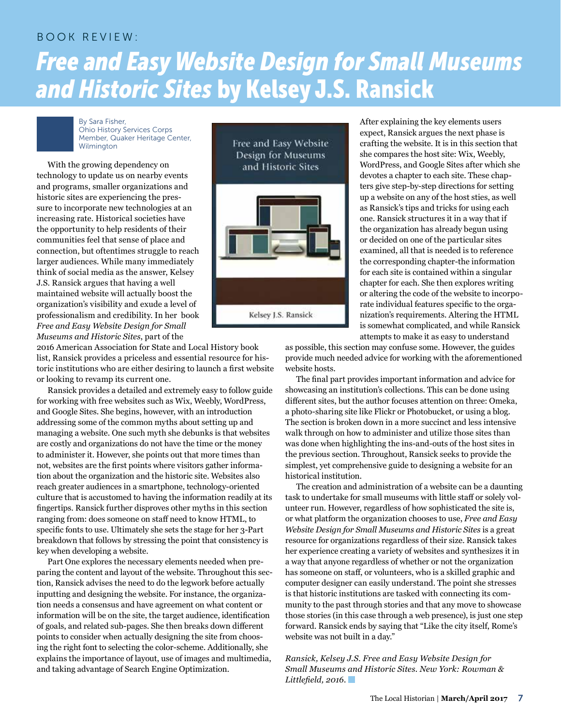## BOOK REVIEW: *Free and Easy Website Design for Small Museums and Historic Sites* by Kelsey J.S. Ransick

By Sara Fisher, Ohio History Services Corps Member, Quaker Heritage Center, Wilmington

With the growing dependency on technology to update us on nearby events and programs, smaller organizations and historic sites are experiencing the pressure to incorporate new technologies at an increasing rate. Historical societies have the opportunity to help residents of their communities feel that sense of place and connection, but oftentimes struggle to reach larger audiences. While many immediately think of social media as the answer, Kelsey J.S. Ransick argues that having a well maintained website will actually boost the organization's visibility and exude a level of professionalism and credibility. In her book *Free and Easy Website Design for Small Museums and Historic Sites*, part of the

2016 American Association for State and Local History book list, Ransick provides a priceless and essential resource for historic institutions who are either desiring to launch a first website or looking to revamp its current one.

Ransick provides a detailed and extremely easy to follow guide for working with free websites such as Wix, Weebly, WordPress, and Google Sites. She begins, however, with an introduction addressing some of the common myths about setting up and managing a website. One such myth she debunks is that websites are costly and organizations do not have the time or the money to administer it. However, she points out that more times than not, websites are the first points where visitors gather information about the organization and the historic site. Websites also reach greater audiences in a smartphone, technology-oriented culture that is accustomed to having the information readily at its fingertips. Ransick further disproves other myths in this section ranging from: does someone on staff need to know HTML, to specific fonts to use. Ultimately she sets the stage for her 3-Part breakdown that follows by stressing the point that consistency is key when developing a website.

Part One explores the necessary elements needed when preparing the content and layout of the website. Throughout this section, Ransick advises the need to do the legwork before actually inputting and designing the website. For instance, the organization needs a consensus and have agreement on what content or information will be on the site, the target audience, identification of goals, and related sub-pages. She then breaks down different points to consider when actually designing the site from choosing the right font to selecting the color-scheme. Additionally, she explains the importance of layout, use of images and multimedia, and taking advantage of Search Engine Optimization.



After explaining the key elements users expect, Ransick argues the next phase is crafting the website. It is in this section that she compares the host site: Wix, Weebly, WordPress, and Google Sites after which she devotes a chapter to each site. These chapters give step-by-step directions for setting up a website on any of the host sties, as well as Ransick's tips and tricks for using each one. Ransick structures it in a way that if the organization has already begun using or decided on one of the particular sites examined, all that is needed is to reference the corresponding chapter-the information for each site is contained within a singular chapter for each. She then explores writing or altering the code of the website to incorporate individual features specific to the organization's requirements. Altering the HTML is somewhat complicated, and while Ransick attempts to make it as easy to understand

as possible, this section may confuse some. However, the guides provide much needed advice for working with the aforementioned website hosts.

The final part provides important information and advice for showcasing an institution's collections. This can be done using different sites, but the author focuses attention on three: Omeka, a photo-sharing site like Flickr or Photobucket, or using a blog. The section is broken down in a more succinct and less intensive walk through on how to administer and utilize those sites than was done when highlighting the ins-and-outs of the host sites in the previous section. Throughout, Ransick seeks to provide the simplest, yet comprehensive guide to designing a website for an historical institution.

The creation and administration of a website can be a daunting task to undertake for small museums with little staff or solely volunteer run. However, regardless of how sophisticated the site is, or what platform the organization chooses to use, *Free and Easy Website Design for Small Museums and Historic Sites* is a great resource for organizations regardless of their size. Ransick takes her experience creating a variety of websites and synthesizes it in a way that anyone regardless of whether or not the organization has someone on staff, or volunteers, who is a skilled graphic and computer designer can easily understand. The point she stresses is that historic institutions are tasked with connecting its community to the past through stories and that any move to showcase those stories (in this case through a web presence), is just one step forward. Ransick ends by saying that "Like the city itself, Rome's website was not built in a day."

*Ransick, Kelsey J.S. Free and Easy Website Design for Small Museums and Historic Sites. New York: Rowman & Littlefield, 2016.*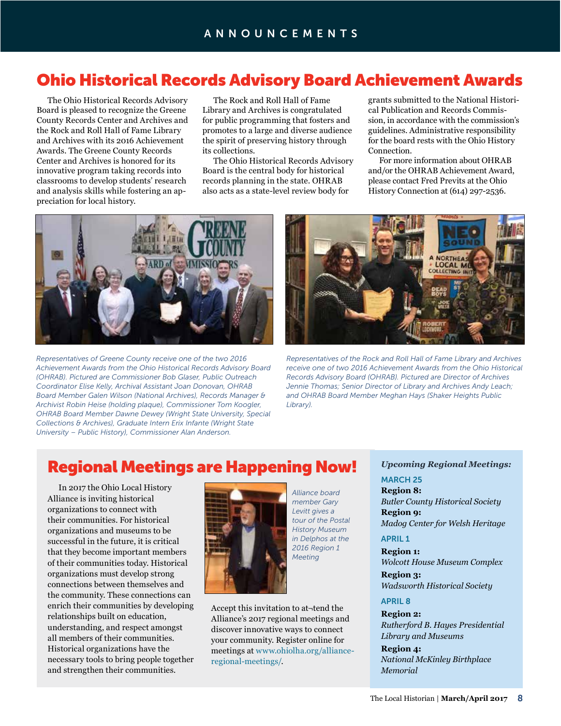## Ohio Historical Records Advisory Board Achievement Awards

The Ohio Historical Records Advisory Board is pleased to recognize the Greene County Records Center and Archives and the Rock and Roll Hall of Fame Library and Archives with its 2016 Achievement Awards. The Greene County Records Center and Archives is honored for its innovative program taking records into classrooms to develop students' research and analysis skills while fostering an appreciation for local history.

The Rock and Roll Hall of Fame Library and Archives is congratulated for public programming that fosters and promotes to a large and diverse audience the spirit of preserving history through its collections.

The Ohio Historical Records Advisory Board is the central body for historical records planning in the state. OHRAB also acts as a state-level review body for

grants submitted to the National Historical Publication and Records Commission, in accordance with the commission's guidelines. Administrative responsibility for the board rests with the Ohio History Connection.

For more information about OHRAB and/or the OHRAB Achievement Award, please contact Fred Previts at the Ohio History Connection at (614) 297-2536.



*Representatives of Greene County receive one of the two 2016 Achievement Awards from the Ohio Historical Records Advisory Board (OHRAB). Pictured are Commissioner Bob Glaser, Public Outreach Coordinator Elise Kelly, Archival Assistant Joan Donovan, OHRAB Board Member Galen Wilson (National Archives), Records Manager & Archivist Robin Heise (holding plaque), Commissioner Tom Koogler, OHRAB Board Member Dawne Dewey (Wright State University, Special Collections & Archives), Graduate Intern Erix Infante (Wright State University – Public History), Commissioner Alan Anderson.*



*Representatives of the Rock and Roll Hall of Fame Library and Archives receive one of two 2016 Achievement Awards from the Ohio Historical Records Advisory Board (OHRAB). Pictured are Director of Archives Jennie Thomas; Senior Director of Library and Archives Andy Leach; and OHRAB Board Member Meghan Hays (Shaker Heights Public Library).*

## Regional Meetings are Happening Now!

In 2017 the Ohio Local History Alliance is inviting historical organizations to connect with their communities. For historical organizations and museums to be successful in the future, it is critical that they become important members of their communities today. Historical organizations must develop strong connections between themselves and the community. These connections can enrich their communities by developing relationships built on education, understanding, and respect amongst all members of their communities. Historical organizations have the necessary tools to bring people together and strengthen their communities.



*Alliance board member Gary Levitt gives a tour of the Postal History Museum in Delphos at the 2016 Region 1 Meeting*

Accept this invitation to at¬tend the Alliance's 2017 regional meetings and discover innovative ways to connect your community. Register online for meetings at [www.ohiolha.org/alliance](http://www.ohiolha.org/alliance)regional-meetings/.

### *Upcoming Regional Meetings:*

### MARCH 25

**Region 8:** *Butler County Historical Society* **Region 9:**  *Madog Center for Welsh Heritage*

### APRIL 1

**Region 1:**  *Wolcott House Museum Complex*

**Region 3:**  *Wadsworth Historical Society*

### APRIL 8

**Region 2:**  *Rutherford B. Hayes Presidential Library and Museums*

**Region 4:**  *National McKinley Birthplace Memorial*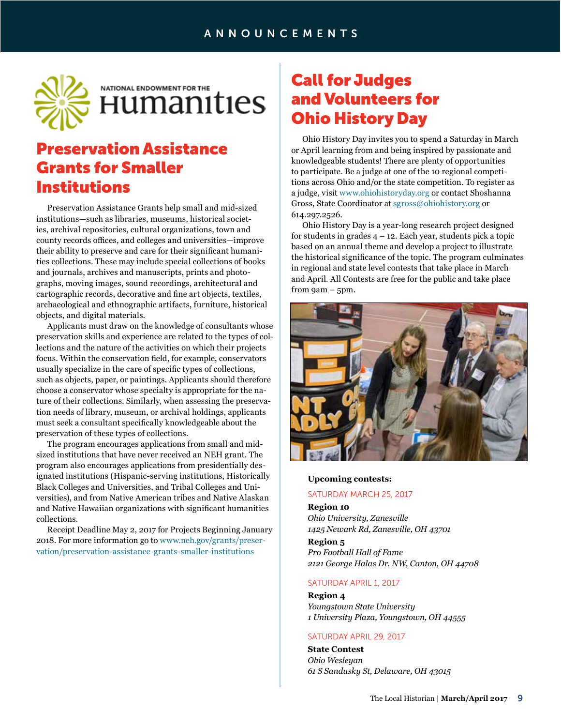

## Preservation Assistance Grants for Smaller Institutions

Preservation Assistance Grants help small and mid-sized institutions—such as libraries, museums, historical societies, archival repositories, cultural organizations, town and county records offices, and colleges and universities—improve their ability to preserve and care for their significant humanities collections. These may include special collections of books and journals, archives and manuscripts, prints and photographs, moving images, sound recordings, architectural and cartographic records, decorative and fine art objects, textiles, archaeological and ethnographic artifacts, furniture, historical objects, and digital materials.

Applicants must draw on the knowledge of consultants whose preservation skills and experience are related to the types of collections and the nature of the activities on which their projects focus. Within the conservation field, for example, conservators usually specialize in the care of specific types of collections, such as objects, paper, or paintings. Applicants should therefore choose a conservator whose specialty is appropriate for the nature of their collections. Similarly, when assessing the preservation needs of library, museum, or archival holdings, applicants must seek a consultant specifically knowledgeable about the preservation of these types of collections.

The program encourages applications from small and midsized institutions that have never received an NEH grant. The program also encourages applications from presidentially designated institutions (Hispanic-serving institutions, Historically Black Colleges and Universities, and Tribal Colleges and Universities), and from Native American tribes and Native Alaskan and Native Hawaiian organizations with significant humanities collections.

Receipt Deadline May 2, 2017 for Projects Beginning January 2018. For more information go to [www.neh.gov/grants/preser](https://www.neh.gov/grants/preservation/preservation)[vation/preservation](https://www.neh.gov/grants/preservation/preservation)-assistance-grants-smaller-institutions

## Call for Judges and Volunteers for Ohio History Day

Ohio History Day invites you to spend a Saturday in March or April learning from and being inspired by passionate and knowledgeable students! There are plenty of opportunities to participate. Be a judge at one of the 10 regional competitions across Ohio and/or the state competition. To register as a judge, visit [www.ohiohistoryday.org](http://www.ohiohistoryday.org) or contact Shoshanna Gross, State Coordinator at [sgross@ohiohistory.org](mailto:sgross@ohiohistory.org) or 614.297.2526.

Ohio History Day is a year-long research project designed for students in grades  $4 - 12$ . Each year, students pick a topic based on an annual theme and develop a project to illustrate the historical significance of the topic. The program culminates in regional and state level contests that take place in March and April. All Contests are free for the public and take place from 9am – 5pm.



#### **Upcoming contests:**

#### SATURDAY MARCH 25, 2017

**Region 10**  *Ohio University, Zanesville 1425 Newark Rd, Zanesville, OH 43701*

#### **Region 5** *Pro Football Hall of Fame 2121 George Halas Dr. NW, Canton, OH 44708*

#### SATURDAY APRIL 1, 2017

**Region 4** *Youngstown State University 1 University Plaza, Youngstown, OH 44555*

#### SATURDAY APRIL 29, 2017

**State Contest** *Ohio Wesleyan 61 S Sandusky St, Delaware, OH 43015*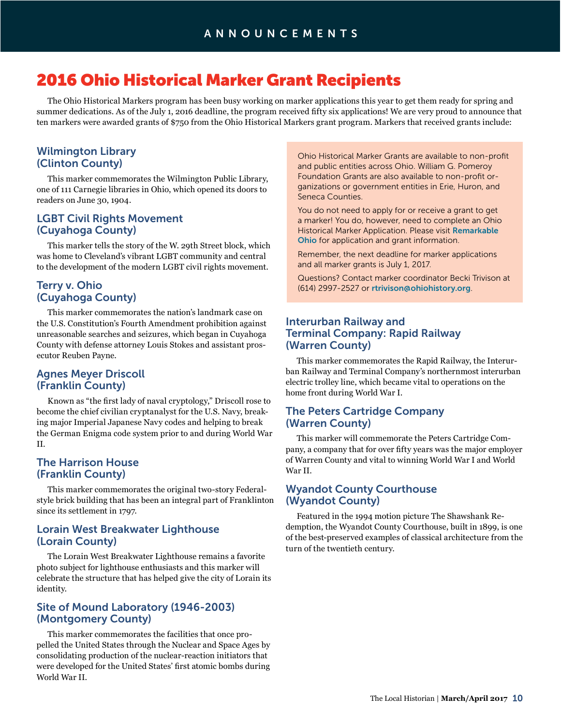## 2016 Ohio Historical Marker Grant Recipients

The Ohio Historical Markers program has been busy working on marker applications this year to get them ready for spring and summer dedications. As of the July 1, 2016 deadline, the program received fifty six applications! We are very proud to announce that ten markers were awarded grants of \$750 from the Ohio Historical Markers grant program. Markers that received grants include:

## Wilmington Library (Clinton County)

This marker commemorates the Wilmington Public Library, one of 111 Carnegie libraries in Ohio, which opened its doors to readers on June 30, 1904.

## LGBT Civil Rights Movement (Cuyahoga County)

This marker tells the story of the W. 29th Street block, which was home to Cleveland's vibrant LGBT community and central to the development of the modern LGBT civil rights movement.

## Terry v. Ohio (Cuyahoga County)

This marker commemorates the nation's landmark case on the U.S. Constitution's Fourth Amendment prohibition against unreasonable searches and seizures, which began in Cuyahoga County with defense attorney Louis Stokes and assistant prosecutor Reuben Payne.

## Agnes Meyer Driscoll (Franklin County)

Known as "the first lady of naval cryptology," Driscoll rose to become the chief civilian cryptanalyst for the U.S. Navy, breaking major Imperial Japanese Navy codes and helping to break the German Enigma code system prior to and during World War II.

## The Harrison House (Franklin County)

This marker commemorates the original two-story Federalstyle brick building that has been an integral part of Franklinton since its settlement in 1797.

## Lorain West Breakwater Lighthouse (Lorain County)

The Lorain West Breakwater Lighthouse remains a favorite photo subject for lighthouse enthusiasts and this marker will celebrate the structure that has helped give the city of Lorain its identity.

## Site of Mound Laboratory (1946-2003) (Montgomery County)

This marker commemorates the facilities that once propelled the United States through the Nuclear and Space Ages by consolidating production of the nuclear-reaction initiators that were developed for the United States' first atomic bombs during World War II.

Ohio Historical Marker Grants are available to non-profit and public entities across Ohio. William G. Pomeroy Foundation Grants are also available to non-profit organizations or government entities in Erie, Huron, and Seneca Counties.

You do not need to apply for or receive a grant to get a marker! You do, however, need to complete an Ohio Historical Marker Application. Please visit [Remarkable](http://www.remarkableohio.org/)  [Ohio](http://www.remarkableohio.org/) for application and grant information.

Remember, the next deadline for marker applications and all marker grants is July 1, 2017.

Questions? Contact marker coordinator Becki Trivison at (614) 2997-2527 or [rtrivison@ohiohistory.org](mailto:rtrivison@ohiohistory.org).

## Interurban Railway and Terminal Company: Rapid Railway (Warren County)

This marker commemorates the Rapid Railway, the Interurban Railway and Terminal Company's northernmost interurban electric trolley line, which became vital to operations on the home front during World War I.

## The Peters Cartridge Company (Warren County)

This marker will commemorate the Peters Cartridge Company, a company that for over fifty years was the major employer of Warren County and vital to winning World War I and World War II.

## Wyandot County Courthouse (Wyandot County)

Featured in the 1994 motion picture The Shawshank Redemption, the Wyandot County Courthouse, built in 1899, is one of the best-preserved examples of classical architecture from the turn of the twentieth century.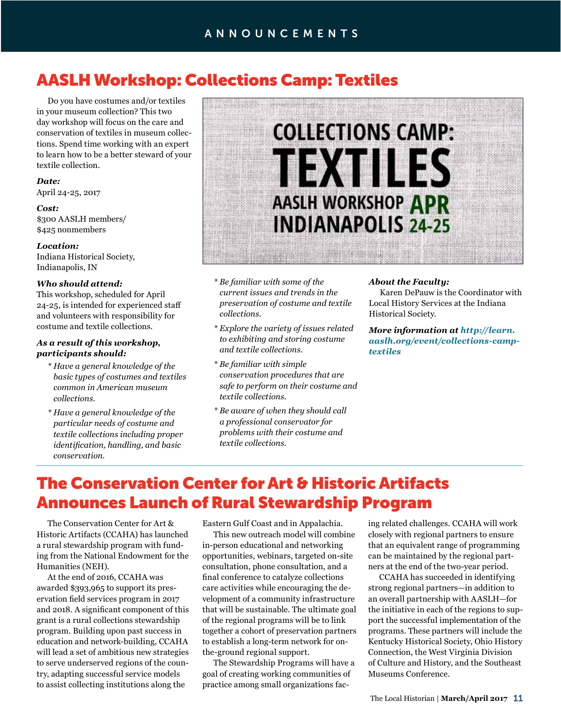## AASLH Workshop: Collections Camp: Textiles

Do you have costumes and/or textiles in your museum collection? This two day workshop will focus on the care and conservation of textiles in museum collections. Spend time working with an expert to learn how to be a better steward of your textile collection.

## *Date:*

April 24-25, 2017

#### *Cost:*

\$300 AASLH members/ \$425 nonmembers

### *Location:*

Indiana Historical Society, Indianapolis, IN

#### *Who should attend:*

This workshop, scheduled for April 24-25, is intended for experienced staff and volunteers with responsibility for costume and textile collections.

### *As a result of this workshop, participants should:*

- *\* Have a general knowledge of the basic types of costumes and textiles common in American museum collections.*
- *\* Have a general knowledge of the particular needs of costume and textile collections including proper identification, handling, and basic conservation.*



- *\* Be familiar with some of the current issues and trends in the preservation of costume and textile collections.*
- *\* Explore the variety of issues related to exhibiting and storing costume and textile collections.*
- *\* Be familiar with simple conservation procedures that are safe to perform on their costume and textile collections.*
- *\* Be aware of when they should call a professional conservator for problems with their costume and textile collections.*

#### *About the Faculty:*

Karen DePauw is the Coordinator with Local History Services at the Indiana Historical Society.

*More information at [http://learn.](http://learn.aaslh.org/event/collections-camp-textiles) [aaslh.org/event/collections](http://learn.aaslh.org/event/collections-camp-textiles)-camptextiles*

## The Conservation Center for Art & Historic Artifacts Announces Launch of Rural Stewardship Program

The Conservation Center for Art & Historic Artifacts (CCAHA) has launched a rural stewardship program with funding from the National Endowment for the Humanities (NEH).

At the end of 2016, CCAHA was awarded \$393,965 to support its preservation field services program in 2017 and 2018. A significant component of this grant is a rural collections stewardship program. Building upon past success in education and network-building, CCAHA will lead a set of ambitious new strategies to serve underserved regions of the country, adapting successful service models to assist collecting institutions along the

Eastern Gulf Coast and in Appalachia.

This new outreach model will combine in-person educational and networking opportunities, webinars, targeted on-site consultation, phone consultation, and a final conference to catalyze collections care activities while encouraging the development of a community infrastructure that will be sustainable. The ultimate goal of the regional programs will be to link together a cohort of preservation partners to establish a long-term network for onthe-ground regional support.

The Stewardship Programs will have a goal of creating working communities of practice among small organizations facing related challenges. CCAHA will work closely with regional partners to ensure that an equivalent range of programming can be maintained by the regional partners at the end of the two-year period.

CCAHA has succeeded in identifying strong regional partners—in addition to an overall partnership with AASLH—for the initiative in each of the regions to support the successful implementation of the programs. These partners will include the Kentucky Historical Society, Ohio History Connection, the West Virginia Division of Culture and History, and the Southeast Museums Conference.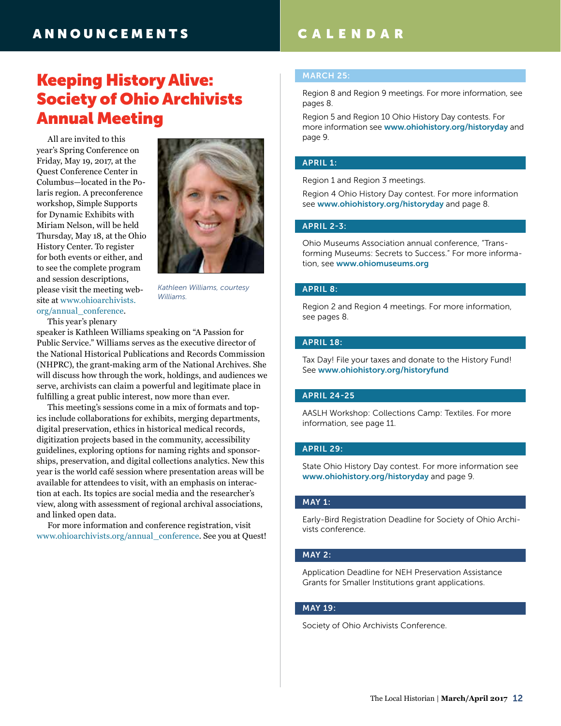## **ANNOUNCEMENTS**

## Keeping History Alive: Society of Ohio Archivists Annual Meeting

All are invited to this year's Spring Conference on Friday, May 19, 2017, at the Quest Conference Center in Columbus—located in the Polaris region. A preconference workshop, Simple Supports for Dynamic Exhibits with Miriam Nelson, will be held Thursday, May 18, at the Ohio History Center. To register for both events or either, and to see the complete program and session descriptions, please visit the meeting website at [www.ohioarchivists.](http://www.ohioarchivists.org/annual_conference) [org/annual\\_conference](http://www.ohioarchivists.org/annual_conference).



*Kathleen Williams, courtesy Williams.*

This year's plenary

speaker is Kathleen Williams speaking on "A Passion for Public Service." Williams serves as the executive director of the National Historical Publications and Records Commission (NHPRC), the grant-making arm of the National Archives. She will discuss how through the work, holdings, and audiences we serve, archivists can claim a powerful and legitimate place in fulfilling a great public interest, now more than ever.

This meeting's sessions come in a mix of formats and topics include collaborations for exhibits, merging departments, digital preservation, ethics in historical medical records, digitization projects based in the community, accessibility guidelines, exploring options for naming rights and sponsorships, preservation, and digital collections analytics. New this year is the world café session where presentation areas will be available for attendees to visit, with an emphasis on interaction at each. Its topics are social media and the researcher's view, along with assessment of regional archival associations, and linked open data.

For more information and conference registration, visit [www.ohioarchivists.org/annual\\_conference](http://www.ohioarchivists.org/annual_conference). See you at Quest!

## CALENDAR

#### MARCH 25:

Region 8 and Region 9 meetings. For more information, see pages 8.

Region 5 and Region 10 Ohio History Day contests. For more information see [www.ohiohistory.org/historyday](http://www.ohiohistory.org/historyday) and page 9.

#### APRIL 1:

Region 1 and Region 3 meetings.

Region 4 Ohio History Day contest. For more information see [www.ohiohistory.org/historyday](http://www.ohiohistory.org/historyday) and page 8.

### APRIL 2-3:

Ohio Museums Association annual conference, "Transforming Museums: Secrets to Success." For more information, see [www.ohiomuseums.org](http://www.ohiomuseums.org)

#### APRIL 8:

Region 2 and Region 4 meetings. For more information, see pages 8.

### APRIL 18:

Tax Day! File your taxes and donate to the History Fund! See [www.ohiohistory.org/historyfund](http://www.ohiohistory.org/historyfund)

#### APRIL 24-25

AASLH Workshop: Collections Camp: Textiles. For more information, see page 11.

#### APRIL 29:

State Ohio History Day contest. For more information see [www.ohiohistory.org/historyday](http://www.ohiohistory.org/historyday) and page 9.

#### MAY 1:

Early-Bird Registration Deadline for Society of Ohio Archivists conference.

### MAY 2:

Application Deadline for NEH Preservation Assistance Grants for Smaller Institutions grant applications.

#### MAY 19:

Society of Ohio Archivists Conference.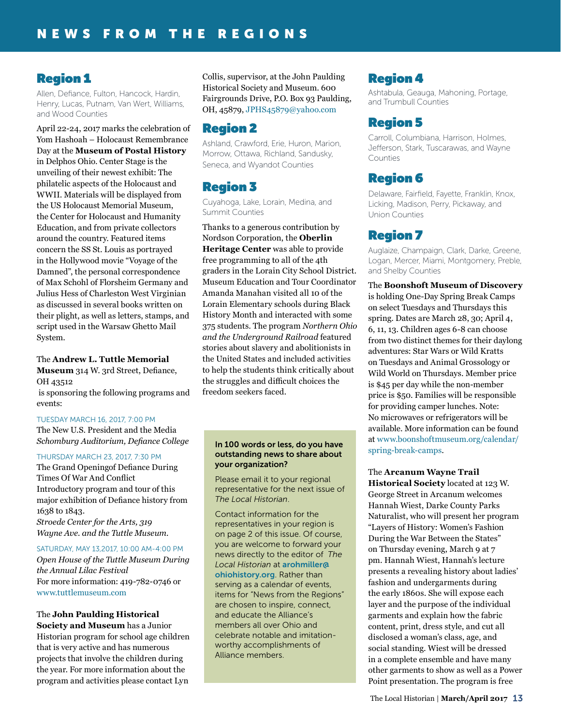## Region 1

Allen, Defiance, Fulton, Hancock, Hardin, Henry, Lucas, Putnam, Van Wert, Williams, and Wood Counties

April 22-24, 2017 marks the celebration of Yom Hashoah – Holocaust Remembrance Day at the **Museum of Postal History** in Delphos Ohio. Center Stage is the unveiling of their newest exhibit: The philatelic aspects of the Holocaust and WWII. Materials will be displayed from the US Holocaust Memorial Museum, the Center for Holocaust and Humanity Education, and from private collectors around the country. Featured items concern the SS St. Louis as portrayed in the Hollywood movie "Voyage of the Damned", the personal correspondence of Max Schohl of Florsheim Germany and Julius Hess of Charleston West Virginian as discussed in several books written on their plight, as well as letters, stamps, and script used in the Warsaw Ghetto Mail System.

The **Andrew L. Tuttle Memorial Museum** 314 W. 3rd Street, Defiance, OH 43512

 is sponsoring the following programs and events:

### TUESDAY MARCH 16, 2017, 7:00 PM

The New U.S. President and the Media *Schomburg Auditorium, Defiance College*

### THURSDAY MARCH 23, 2017, 7:30 PM

The Grand Openingof Defiance During Times Of War And Conflict Introductory program and tour of this major exhibition of Defiance history from 1638 to 1843. *Stroede Center for the Arts, 319 Wayne Ave. and the Tuttle Museum.*

#### SATURDAY, MAY 13,2017, 10:00 AM-4:00 PM

*Open House of the Tuttle Museum During the Annual Lilac Festival* For more information: 419-782-0746 or [www.tuttlemuseum.com](http://www.tuttlemuseum.com)

## The **John Paulding Historical**

**Society and Museum** has a Junior Historian program for school age children that is very active and has numerous projects that involve the children during the year. For more information about the program and activities please contact Lyn

Collis, supervisor, at the John Paulding Historical Society and Museum. 600 Fairgrounds Drive, P.O. Box 93 Paulding, OH, 45879, [JPHS45879@yahoo.com](mailto:JPHS45879@yahoo.com)

## Region 2

Ashland, Crawford, Erie, Huron, Marion, Morrow, Ottawa, Richland, Sandusky, Seneca, and Wyandot Counties

## Region 3

Cuyahoga, Lake, Lorain, Medina, and Summit Counties

Thanks to a generous contribution by Nordson Corporation, the **Oberlin Heritage Center** was able to provide free programming to all of the 4th graders in the Lorain City School District. Museum Education and Tour Coordinator Amanda Manahan visited all 10 of the Lorain Elementary schools during Black History Month and interacted with some 375 students. The program *Northern Ohio and the Underground Railroad* featured stories about slavery and abolitionists in the United States and included activities to help the students think critically about the struggles and difficult choices the freedom seekers faced.

#### In 100 words or less, do you have outstanding news to share about your organization?

Please email it to your regional representative for the next issue of *The Local Historian*.

Contact information for the representatives in your region is on page 2 of this issue. Of course, you are welcome to forward your news directly to the editor of *The Local Historian* at [arohmiller@](mailto:arohmiller%40ohiohistory.org?subject=) [ohiohistory.org](mailto:arohmiller%40ohiohistory.org?subject=). Rather than serving as a calendar of events, items for "News from the Regions" are chosen to inspire, connect, and educate the Alliance's members all over Ohio and celebrate notable and imitationworthy accomplishments of Alliance members.

## Region 4

Ashtabula, Geauga, Mahoning, Portage, and Trumbull Counties

## Region 5

Carroll, Columbiana, Harrison, Holmes, Jefferson, Stark, Tuscarawas, and Wayne Counties

## Region 6

Delaware, Fairfield, Fayette, Franklin, Knox, Licking, Madison, Perry, Pickaway, and Union Counties

## Region 7

Auglaize, Champaign, Clark, Darke, Greene, Logan, Mercer, Miami, Montgomery, Preble, and Shelby Counties

The **Boonshoft Museum of Discovery** is holding One-Day Spring Break Camps on select Tuesdays and Thursdays this spring. Dates are March 28, 30; April 4, 6, 11, 13. Children ages 6-8 can choose from two distinct themes for their daylong adventures: Star Wars or Wild Kratts on Tuesdays and Animal Grossology or Wild World on Thursdays. Member price is \$45 per day while the non-member price is \$50. Families will be responsible for providing camper lunches. Note: No microwaves or refrigerators will be available. More information can be found at [www.boonshoftmuseum.org/calendar/](https://www.boonshoftmuseum.org/calendar/spring) [spring](https://www.boonshoftmuseum.org/calendar/spring)-break-camps.

### The **Arcanum Wayne Trail**

**Historical Society** located at 123 W. George Street in Arcanum welcomes Hannah Wiest, Darke County Parks Naturalist, who will present her program "Layers of History: Women's Fashion During the War Between the States" on Thursday evening, March 9 at 7 pm. Hannah Wiest, Hannah's lecture presents a revealing history about ladies' fashion and undergarments during the early 1860s. She will expose each layer and the purpose of the individual garments and explain how the fabric content, print, dress style, and cut all disclosed a woman's class, age, and social standing. Wiest will be dressed in a complete ensemble and have many other garments to show as well as a Power Point presentation. The program is free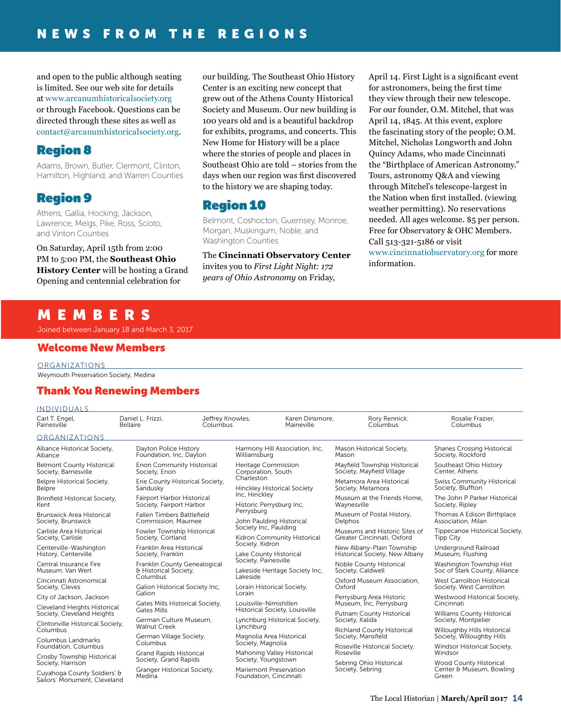and open to the public although seating is limited. See our web site for details at [www.arcanumhistoricalsociety.org](http://www.arcanumhistoricalsociety.org) or through Facebook. Questions can be directed through these sites as well as [contact@arcanumhistoricalsociety.org](mailto:contact@arcanumhistoricalsociety.org).

## Region 8

Adams, Brown, Butler, Clermont, Clinton, Hamilton, Highland, and Warren Counties

## Region 9

Athens, Gallia, Hocking, Jackson, Lawrence, Meigs, Pike, Ross, Scioto, and Vinton Counties

On Saturday, April 15th from 2:00 PM to 5:00 PM, the **Southeast Ohio History Center** will be hosting a Grand Opening and centennial celebration for

our building. The Southeast Ohio History Center is an exciting new concept that grew out of the Athens County Historical Society and Museum. Our new building is 100 years old and is a beautiful backdrop for exhibits, programs, and concerts. This New Home for History will be a place where the stories of people and places in Southeast Ohio are told – stories from the days when our region was first discovered to the history we are shaping today.

## Region 10

Belmont, Coshocton, Guernsey, Monroe, Morgan, Muskingum, Noble, and Washington Counties

The **Cincinnati Observatory Center** invites you to *First Light Night: 172 years of Ohio Astronomy* on Friday,

April 14. First Light is a significant event for astronomers, being the first time they view through their new telescope. For our founder, O.M. Mitchel, that was April 14, 1845. At this event, explore the fascinating story of the people; O.M. Mitchel, Nicholas Longworth and John Quincy Adams, who made Cincinnati the "Birthplace of American Astronomy." Tours, astronomy Q&A and viewing through Mitchel's telescope-largest in the Nation when first installed. (viewing weather permitting). No reservations needed. All ages welcome. \$5 per person. Free for Observatory & OHC Members. Call 513-321-5186 or visit [www.cincinnatiobservatory.org](http://www.cincinnatiobservatory.org) for more information.

## MEMBERS

Joined between January 18 and March 3, 2017

## Welcome New Members

ORGANIZATIONS

Weymouth Preservation Society, Medina

## Thank You Renewing Members

| <b>INDIVIDUALS</b>                                                               |                                                                                      |                                                                                                                                    |                                                                                                   |                                                             |                                                           |                                                             |
|----------------------------------------------------------------------------------|--------------------------------------------------------------------------------------|------------------------------------------------------------------------------------------------------------------------------------|---------------------------------------------------------------------------------------------------|-------------------------------------------------------------|-----------------------------------------------------------|-------------------------------------------------------------|
| Carl T. Engel,<br>Painesville                                                    | Daniel L. Frizzi.<br>Jeffrey Knowles,<br>Bellaire<br>Columbus                        |                                                                                                                                    |                                                                                                   | Karen Dinsmore.<br>Maineville                               | Rory Rennick.<br>Columbus                                 | Rosalie Frazier.<br>Columbus                                |
| <b>ORGANIZATIONS</b>                                                             |                                                                                      |                                                                                                                                    |                                                                                                   |                                                             |                                                           |                                                             |
| Alliance Historical Society,<br>Alliance                                         | Dayton Police History<br>Foundation, Inc, Dayton                                     |                                                                                                                                    | Williamsburg                                                                                      | Harmony Hill Association, Inc,                              | Mason Historical Society,<br>Mason                        | <b>Shanes Crossing Historical</b><br>Society, Rockford      |
| <b>Belmont County Historical</b><br>Society, Barnesville                         | Society, Enon                                                                        | Enon Community Historical<br>Erie County Historical Society,<br>Sandusky<br>Fairport Harbor Historical<br>Society, Fairport Harbor |                                                                                                   | Heritage Commission<br>Corporation, South                   | Mayfield Township Historical<br>Society, Mayfield Village | Southeast Ohio History<br>Center, Athens                    |
| Belpre Historical Society,<br>Belpre                                             |                                                                                      |                                                                                                                                    |                                                                                                   | Hinckley Historical Society                                 | Metamora Area Historical<br>Society, Metamora             | <b>Swiss Community Historical</b><br>Society, Bluffton      |
| Brimfield Historical Society,<br>Kent                                            |                                                                                      |                                                                                                                                    |                                                                                                   | Inc, Hinckley<br>Historic Perrysburg Inc,                   | Museum at the Friends Home.<br>Waynesville                | The John P Parker Historical<br>Society, Ripley             |
| <b>Brunswick Area Historical</b><br>Society, Brunswick                           | Fallen Timbers Battlefield<br>Commission, Maumee                                     |                                                                                                                                    | Perrysburg                                                                                        | John Paulding Historical                                    | Museum of Postal History,<br>Delphos                      | Thomas A Edison Birthplace<br>Association, Milan            |
| Carlisle Area Historical<br>Society, Carlisle                                    | Fowler Township Historical<br>Society, Cortland                                      |                                                                                                                                    | Society Inc, Paulding<br>Kidron Community Historical<br>Society, Kidron<br>Lake County Historical | Museums and Historic Sites of<br>Greater Cincinnati, Oxford | Tippecanoe Historical Society,<br><b>Tipp City</b>        |                                                             |
| Centerville-Washington<br>History, Centerville                                   | Franklin Area Historical<br>Society, Franklin                                        |                                                                                                                                    |                                                                                                   | New Albany-Plain Township<br>Historical Society, New Albany | Underground Railroad<br>Museum, Flushing                  |                                                             |
| Central Insurance Fire<br>Museum, Van Wert                                       | Franklin County Genealogical<br>& Historical Society,                                |                                                                                                                                    | Society, Painesville<br>Lakeside Heritage Society Inc,                                            | Noble County Historical<br>Society, Caldwell                | Washington Township Hist<br>Soc of Stark County, Alliance |                                                             |
| Cincinnati Astronomical<br>Society, Cleves                                       | Columbus<br>Galion Historical Society Inc,                                           |                                                                                                                                    | Lakeside                                                                                          | Lorain Historical Society,                                  | Oxford Museum Association.<br>Oxford                      | West Carrollton Historical<br>Society, West Carrollton      |
| City of Jackson, Jackson                                                         | Galion                                                                               |                                                                                                                                    | Lorain                                                                                            |                                                             | Perrysburg Area Historic                                  | Westwood Historical Society,                                |
| Cleveland Heights Historical<br>Society, Cleveland Heights                       | <b>Gates Mills</b>                                                                   | Gates Mills Historical Society,                                                                                                    |                                                                                                   | Louisville-Nimishillen<br>Historical Society, Louisville    | Museum, Inc, Perrysburg<br>Putnam County Historical       | Cincinnati<br>Williams County Historical                    |
| Clintonville Historical Society,<br>Columbus                                     | German Culture Museum.<br><b>Walnut Creek</b><br>German Village Society,<br>Columbus |                                                                                                                                    | Lynchburg Historical Society,<br>Lynchburg<br>Magnolia Area Historical<br>Society, Magnolia       |                                                             | Society, Kalida                                           | Society, Montpelier                                         |
|                                                                                  |                                                                                      |                                                                                                                                    |                                                                                                   |                                                             | <b>Richland County Historical</b><br>Society, Mansfield   | Willoughby Hills Historical<br>Society, Willoughby Hills    |
| Columbus Landmarks<br>Foundation, Columbus                                       |                                                                                      |                                                                                                                                    |                                                                                                   |                                                             | Roseville Historical Society,<br>Roseville                | Windsor Historical Society,<br>Windsor                      |
| Crosby Township Historical                                                       | <b>Grand Rapids Historical</b><br>Society, Grand Rapids                              |                                                                                                                                    | Mahoning Valley Historical<br>Society, Youngstown                                                 |                                                             |                                                           |                                                             |
| Society, Harrison<br>Cuyahoga County Soldiers' &<br>Sailors' Monument, Cleveland | Granger Historical Society,<br>Medina                                                |                                                                                                                                    | Foundation, Cincinnati                                                                            | Mariemont Preservation                                      | Sebring Ohio Historical<br>Society, Sebring               | Wood County Historical<br>Center & Museum, Bowling<br>Green |